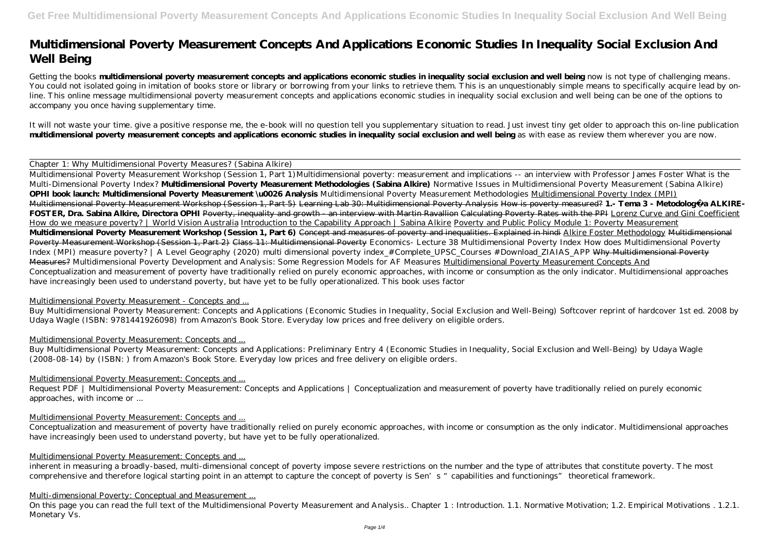# **Multidimensional Poverty Measurement Concepts And Applications Economic Studies In Inequality Social Exclusion And Well Being**

Getting the books **multidimensional poverty measurement concepts and applications economic studies in inequality social exclusion and well being now is not type of challenging means.** You could not isolated going in imitation of books store or library or borrowing from your links to retrieve them. This is an unquestionably simple means to specifically acquire lead by online. This online message multidimensional poverty measurement concepts and applications economic studies in inequality social exclusion and well being can be one of the options to accompany you once having supplementary time.

It will not waste your time. give a positive response me, the e-book will no question tell you supplementary situation to read. Just invest tiny get older to approach this on-line publication **multidimensional poverty measurement concepts and applications economic studies in inequality social exclusion and well being** as with ease as review them wherever you are now.

Chapter 1: Why Multidimensional Poverty Measures? (Sabina Alkire)

Request PDF | Multidimensional Poverty Measurement: Concepts and Applications | Conceptualization and measurement of poverty have traditionally relied on purely economic approaches, with income or ...

Multidimensional Poverty Measurement Workshop (Session 1, Part 1)*Multidimensional poverty: measurement and implications -- an interview with Professor James Foster What is the Multi-Dimensional Poverty Index?* **Multidimensional Poverty Measurement Methodologies (Sabina Alkire)** *Normative Issues in Multidimensional Poverty Measurement (Sabina Alkire)* **OPHI book launch: Multidimensional Poverty Measurement \u0026 Analysis** *Multidimensional Poverty Measurement Methodologies* Multidimensional Poverty Index (MPI) Multidimensional Poverty Measurement Workshop (Session 1, Part 5) Learning Lab 30: Multidimensional Poverty Analysis How is poverty measured? **1.- Tema 3 - Metodología ALKIRE-FOSTER, Dra. Sabina Alkire, Directora OPHI** Poverty, inequality and growth - an interview with Martin Ravallion Calculating Poverty Rates with the PPI Lorenz Curve and Gini Coefficient How do we measure poverty? | World Vision Australia Introduction to the Capability Approach | Sabina Alkire Poverty and Public Policy Module 1: Poverty Measurement **Multidimensional Poverty Measurement Workshop (Session 1, Part 6)** Concept and measures of poverty and inequalities. Explained in hindi Alkire Foster Methodology Multidimensional Poverty Measurement Workshop (Session 1, Part 2) Class 11: Multidimensional Poverty Economics- Lecture 38 Multidimensional Poverty Index *How does Multidimensional Poverty Index (MPI) measure poverty? | A Level Geography (2020) multi dimensional poverty index\_#Complete\_UPSC\_Courses #Download\_ZIAIAS\_APP* Why Multidimensional Poverty Measures? *Multidimensional Poverty Development and Analysis: Some Regression Models for AF Measures* Multidimensional Poverty Measurement Concepts And Conceptualization and measurement of poverty have traditionally relied on purely economic approaches, with income or consumption as the only indicator. Multidimensional approaches have increasingly been used to understand poverty, but have yet to be fully operationalized. This book uses factor

On this page you can read the full text of the Multidimensional Poverty Measurement and Analysis.. Chapter 1: Introduction. 1.1. Normative Motivation; 1.2. Empirical Motivations . 1.2.1. Monetary Vs.

### Multidimensional Poverty Measurement - Concepts and ...

Buy Multidimensional Poverty Measurement: Concepts and Applications (Economic Studies in Inequality, Social Exclusion and Well-Being) Softcover reprint of hardcover 1st ed. 2008 by Udaya Wagle (ISBN: 9781441926098) from Amazon's Book Store. Everyday low prices and free delivery on eligible orders.

### Multidimensional Poverty Measurement: Concepts and ...

Buy Multidimensional Poverty Measurement: Concepts and Applications: Preliminary Entry 4 (Economic Studies in Inequality, Social Exclusion and Well-Being) by Udaya Wagle (2008-08-14) by (ISBN: ) from Amazon's Book Store. Everyday low prices and free delivery on eligible orders.

### Multidimensional Poverty Measurement: Concepts and ...

### Multidimensional Poverty Measurement: Concepts and ...

Conceptualization and measurement of poverty have traditionally relied on purely economic approaches, with income or consumption as the only indicator. Multidimensional approaches have increasingly been used to understand poverty, but have yet to be fully operationalized.

#### Multidimensional Poverty Measurement: Concepts and ...

inherent in measuring a broadly-based, multi-dimensional concept of poverty impose severe restrictions on the number and the type of attributes that constitute poverty. The most comprehensive and therefore logical starting point in an attempt to capture the concept of poverty is Sen's "capabilities and functionings" theoretical framework.

#### Multi-dimensional Poverty: Conceptual and Measurement ...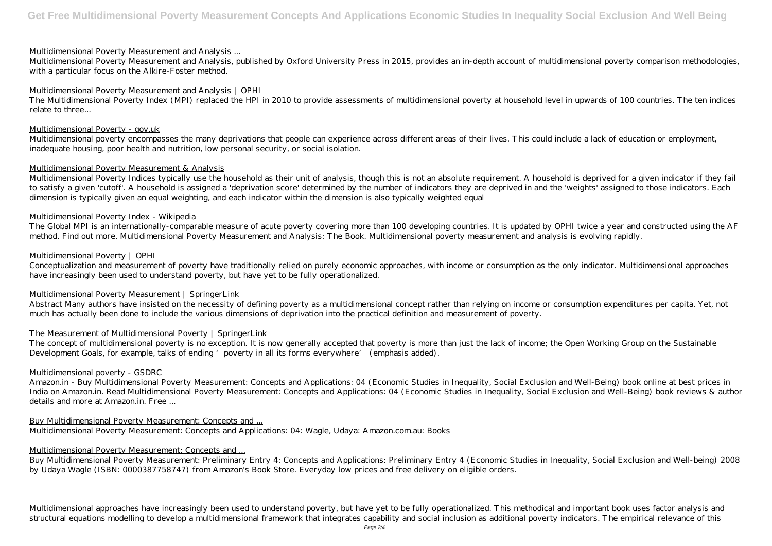#### Multidimensional Poverty Measurement and Analysis ...

Multidimensional Poverty Measurement and Analysis, published by Oxford University Press in 2015, provides an in-depth account of multidimensional poverty comparison methodologies, with a particular focus on the Alkire-Foster method.

#### Multidimensional Poverty Measurement and Analysis | OPHI

Multidimensional poverty encompasses the many deprivations that people can experience across different areas of their lives. This could include a lack of education or employment, inadequate housing, poor health and nutrition, low personal security, or social isolation.

The Multidimensional Poverty Index (MPI) replaced the HPI in 2010 to provide assessments of multidimensional poverty at household level in upwards of 100 countries. The ten indices relate to three...

#### Multidimensional Poverty - gov.uk

The Global MPI is an internationally-comparable measure of acute poverty covering more than 100 developing countries. It is updated by OPHI twice a year and constructed using the AF method. Find out more. Multidimensional Poverty Measurement and Analysis: The Book. Multidimensional poverty measurement and analysis is evolving rapidly.

#### Multidimensional Poverty Measurement & Analysis

Multidimensional Poverty Indices typically use the household as their unit of analysis, though this is not an absolute requirement. A household is deprived for a given indicator if they fail to satisfy a given 'cutoff'. A household is assigned a 'deprivation score' determined by the number of indicators they are deprived in and the 'weights' assigned to those indicators. Each dimension is typically given an equal weighting, and each indicator within the dimension is also typically weighted equal

The concept of multidimensional poverty is no exception. It is now generally accepted that poverty is more than just the lack of income; the Open Working Group on the Sustainable Development Goals, for example, talks of ending 'poverty in all its forms everywhere' (emphasis added).

#### Multidimensional Poverty Index - Wikipedia

#### Multidimensional Poverty | OPHI

Conceptualization and measurement of poverty have traditionally relied on purely economic approaches, with income or consumption as the only indicator. Multidimensional approaches have increasingly been used to understand poverty, but have yet to be fully operationalized.

### Multidimensional Poverty Measurement | SpringerLink

Abstract Many authors have insisted on the necessity of defining poverty as a multidimensional concept rather than relying on income or consumption expenditures per capita. Yet, not much has actually been done to include the various dimensions of deprivation into the practical definition and measurement of poverty.

### The Measurement of Multidimensional Poverty | SpringerLink

#### Multidimensional poverty - GSDRC

Amazon.in - Buy Multidimensional Poverty Measurement: Concepts and Applications: 04 (Economic Studies in Inequality, Social Exclusion and Well-Being) book online at best prices in India on Amazon.in. Read Multidimensional Poverty Measurement: Concepts and Applications: 04 (Economic Studies in Inequality, Social Exclusion and Well-Being) book reviews & author details and more at Amazon.in. Free ...

### Buy Multidimensional Poverty Measurement: Concepts and ...

Multidimensional Poverty Measurement: Concepts and Applications: 04: Wagle, Udaya: Amazon.com.au: Books

#### Multidimensional Poverty Measurement: Concepts and ...

Buy Multidimensional Poverty Measurement: Preliminary Entry 4: Concepts and Applications: Preliminary Entry 4 (Economic Studies in Inequality, Social Exclusion and Well-being) 2008 by Udaya Wagle (ISBN: 0000387758747) from Amazon's Book Store. Everyday low prices and free delivery on eligible orders.

Multidimensional approaches have increasingly been used to understand poverty, but have yet to be fully operationalized. This methodical and important book uses factor analysis and structural equations modelling to develop a multidimensional framework that integrates capability and social inclusion as additional poverty indicators. The empirical relevance of this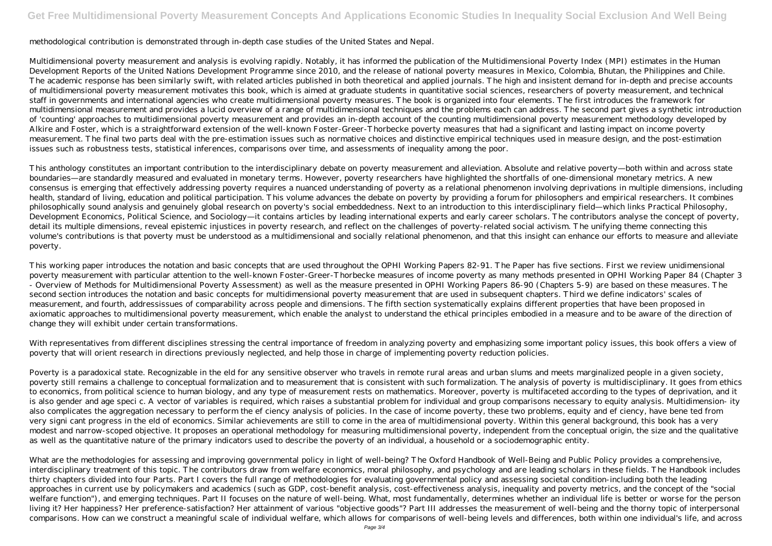# **Get Free Multidimensional Poverty Measurement Concepts And Applications Economic Studies In Inequality Social Exclusion And Well Being**

### methodological contribution is demonstrated through in-depth case studies of the United States and Nepal.

Multidimensional poverty measurement and analysis is evolving rapidly. Notably, it has informed the publication of the Multidimensional Poverty Index (MPI) estimates in the Human Development Reports of the United Nations Development Programme since 2010, and the release of national poverty measures in Mexico, Colombia, Bhutan, the Philippines and Chile. The academic response has been similarly swift, with related articles published in both theoretical and applied journals. The high and insistent demand for in-depth and precise accounts of multidimensional poverty measurement motivates this book, which is aimed at graduate students in quantitative social sciences, researchers of poverty measurement, and technical staff in governments and international agencies who create multidimensional poverty measures. The book is organized into four elements. The first introduces the framework for multidimensional measurement and provides a lucid overview of a range of multidimensional techniques and the problems each can address. The second part gives a synthetic introduction of 'counting' approaches to multidimensional poverty measurement and provides an in-depth account of the counting multidimensional poverty measurement methodology developed by Alkire and Foster, which is a straightforward extension of the well-known Foster-Greer-Thorbecke poverty measures that had a significant and lasting impact on income poverty measurement. The final two parts deal with the pre-estimation issues such as normative choices and distinctive empirical techniques used in measure design, and the post-estimation issues such as robustness tests, statistical inferences, comparisons over time, and assessments of inequality among the poor.

This anthology constitutes an important contribution to the interdisciplinary debate on poverty measurement and alleviation. Absolute and relative poverty—both within and across state boundaries—are standardly measured and evaluated in monetary terms. However, poverty researchers have highlighted the shortfalls of one-dimensional monetary metrics. A new consensus is emerging that effectively addressing poverty requires a nuanced understanding of poverty as a relational phenomenon involving deprivations in multiple dimensions, including health, standard of living, education and political participation. This volume advances the debate on poverty by providing a forum for philosophers and empirical researchers. It combines philosophically sound analysis and genuinely global research on poverty's social embeddedness. Next to an introduction to this interdisciplinary field—which links Practical Philosophy, Development Economics, Political Science, and Sociology—it contains articles by leading international experts and early career scholars. The contributors analyse the concept of poverty, detail its multiple dimensions, reveal epistemic injustices in poverty research, and reflect on the challenges of poverty-related social activism. The unifying theme connecting this volume's contributions is that poverty must be understood as a multidimensional and socially relational phenomenon, and that this insight can enhance our efforts to measure and alleviate poverty.

This working paper introduces the notation and basic concepts that are used throughout the OPHI Working Papers 82-91. The Paper has five sections. First we review unidimensional poverty measurement with particular attention to the well-known Foster-Greer-Thorbecke measures of income poverty as many methods presented in OPHI Working Paper 84 (Chapter 3 - Overview of Methods for Multidimensional Poverty Assessment) as well as the measure presented in OPHI Working Papers 86-90 (Chapters 5-9) are based on these measures. The second section introduces the notation and basic concepts for multidimensional poverty measurement that are used in subsequent chapters. Third we define indicators' scales of measurement, and fourth, addressissues of comparability across people and dimensions. The fifth section systematically explains different properties that have been proposed in axiomatic approaches to multidimensional poverty measurement, which enable the analyst to understand the ethical principles embodied in a measure and to be aware of the direction of change they will exhibit under certain transformations.

With representatives from different disciplines stressing the central importance of freedom in analyzing poverty and emphasizing some important policy issues, this book offers a view of poverty that will orient research in directions previously neglected, and help those in charge of implementing poverty reduction policies.

Poverty is a paradoxical state. Recognizable in the eld for any sensitive observer who travels in remote rural areas and urban slums and meets marginalized people in a given society, poverty still remains a challenge to conceptual formalization and to measurement that is consistent with such formalization. The analysis of poverty is multidisciplinary. It goes from ethics to economics, from political science to human biology, and any type of measurement rests on mathematics. Moreover, poverty is multifaceted according to the types of deprivation, and it is also gender and age speci c. A vector of variables is required, which raises a substantial problem for individual and group comparisons necessary to equity analysis. Multidimension- ity also complicates the aggregation necessary to perform the ef ciency analysis of policies. In the case of income poverty, these two problems, equity and ef ciency, have bene ted from very signi cant progress in the eld of economics. Similar achievements are still to come in the area of multidimensional poverty. Within this general background, this book has a very modest and narrow-scoped objective. It proposes an operational methodology for measuring multidimensional poverty, independent from the conceptual origin, the size and the qualitative as well as the quantitative nature of the primary indicators used to describe the poverty of an individual, a household or a sociodemographic entity.

What are the methodologies for assessing and improving governmental policy in light of well-being? The Oxford Handbook of Well-Being and Public Policy provides a comprehensive, interdisciplinary treatment of this topic. The contributors draw from welfare economics, moral philosophy, and psychology and are leading scholars in these fields. The Handbook includes thirty chapters divided into four Parts. Part I covers the full range of methodologies for evaluating governmental policy and assessing societal condition-including both the leading approaches in current use by policymakers and academics (such as GDP, cost-benefit analysis, cost-effectiveness analysis, inequality and poverty metrics, and the concept of the "social welfare function"), and emerging techniques. Part II focuses on the nature of well-being. What, most fundamentally, determines whether an individual life is better or worse for the person living it? Her happiness? Her preference-satisfaction? Her attainment of various "objective goods"? Part III addresses the measurement of well-being and the thorny topic of interpersonal comparisons. How can we construct a meaningful scale of individual welfare, which allows for comparisons of well-being levels and differences, both within one individual's life, and across